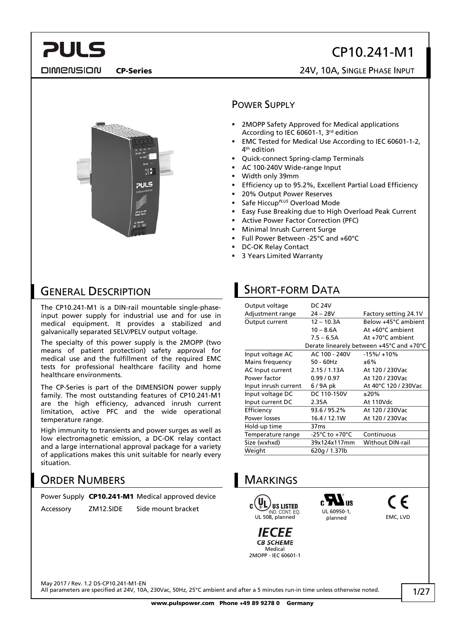### CP10.241-M1

**DIMENSION** 

**PULS** 

#### CP-Series 24V, 10A, SINGLE PHASE INPUT



#### POWER SUPPLY

- 2MOPP Safety Approved for Medical applications According to IEC 60601-1, 3rd edition
- EMC Tested for Medical Use According to IEC 60601-1-2, 4th edition
- Quick-connect Spring-clamp Terminals
- AC 100-240V Wide-range Input
- Width only 39mm
- Efficiency up to 95.2%, Excellent Partial Load Efficiency
- 20% Output Power Reserves
- Safe Hiccup*PLUS* Overload Mode
- Easy Fuse Breaking due to High Overload Peak Current
- Active Power Factor Correction (PFC)
- Minimal Inrush Current Surge
- Full Power Between -25°C and +60°C
- DC-OK Relay Contact
- 3 Years Limited Warranty

#### GENERAL DESCRIPTION

The CP10.241-M1 is a DIN-rail mountable single-phaseinput power supply for industrial use and for use in medical equipment. It provides a stabilized and galvanically separated SELV/PELV output voltage.

The specialty of this power supply is the 2MOPP (two means of patient protection) safety approval for medical use and the fulfillment of the required EMC tests for professional healthcare facility and home healthcare environments.

The CP-Series is part of the DIMENSION power supply family. The most outstanding features of CP10.241-M1 are the high efficiency, advanced inrush current limitation, active PFC and the wide operational temperature range.

High immunity to transients and power surges as well as low electromagnetic emission, a DC-OK relay contact and a large international approval package for a variety of applications makes this unit suitable for nearly every situation.

#### ORDER NUMBERS

|  | Power Supply CP10.241-M1 Medical approved device |
|--|--------------------------------------------------|
|  |                                                  |

Accessory ZM12.SIDE Side mount bracket

#### SHORT-FORM DATA

| Output voltage       | <b>DC 24V</b>    |                                          |
|----------------------|------------------|------------------------------------------|
| Adjustment range     | $24 - 28V$       | Factory setting 24.1V                    |
| Output current       | $12 - 10.3A$     | Below +45°C ambient                      |
|                      | $10 - 8.6A$      | At +60°C ambient                         |
|                      | $7.5 - 6.5A$     | At +70°C ambient                         |
|                      |                  | Derate linearely between +45°C and +70°C |
| Input voltage AC     | AC 100 - 240V    | $-15\%/+10\%$                            |
| Mains frequency      | $50 - 60$ Hz     | ±6%                                      |
| AC Input current     | 2.15/1.13A       | At 120 / 230Vac                          |
| Power factor         | 0.99/0.97        | At 120 / 230Vac                          |
| Input inrush current | 6/9A pk          | At 40°C 120 / 230Vac                     |
| Input voltage DC     | DC 110-150V      | ±20%                                     |
| Input current DC     | 2.35A            | At 110Vdc                                |
| Efficiency           | 93.6 / 95.2%     | At 120 / 230Vac                          |
| Power losses         | 16.4 / 12.1W     | At 120 / 230Vac                          |
| Hold-up time         | 37 <sub>ms</sub> |                                          |
| Temperature range    | -25°C to +70°C   | Continuous                               |
| Size (wxhxd)         | 39x124x117mm     | <b>Without DIN-rail</b>                  |
| Weight               | 620g / 1.37lb    |                                          |



May 2017 / Rev. 1.2 DS-CP10.241-M1-EN

All parameters are specified at 24V, 10A, 230Vac, 50Hz, 25°C ambient and after a 5 minutes run-in time unless otherwise noted.

C E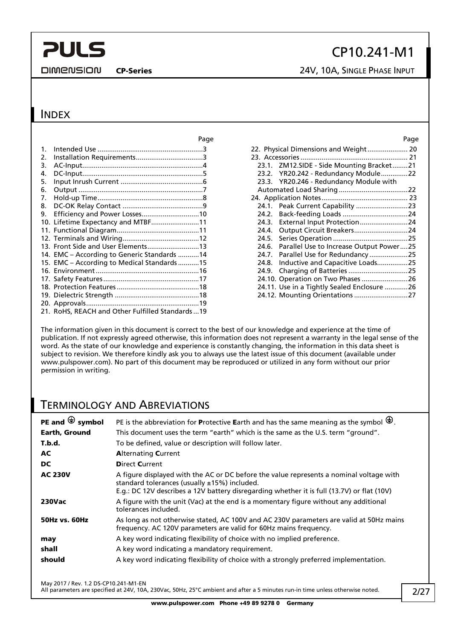**DIMENSION** 

### CP10.241-M1

CP-Series 24V, 10A, SINGLE PHASE INPUT

#### **INDEX**

|         | Page                                            |       | Page                                          |
|---------|-------------------------------------------------|-------|-----------------------------------------------|
| $1_{-}$ |                                                 |       | 22. Physical Dimensions and Weight 20         |
| 2.      |                                                 |       |                                               |
| 3.      |                                                 |       | 23.1. ZM12.SIDE - Side Mounting Bracket21     |
| 4.      |                                                 |       | 23.2. YR20.242 - Redundancy Module22          |
| 5.      |                                                 |       | 23.3. YR20.246 - Redundancy Module with       |
| 6.      |                                                 |       |                                               |
| 7.      |                                                 |       |                                               |
| 8.      |                                                 |       | 24.1. Peak Current Capability 23              |
| 9.      |                                                 | 24.2. |                                               |
|         | 10. Lifetime Expectancy and MTBF11              | 24.3. | External Input Protection24                   |
|         |                                                 | 24.4. | Output Circuit Breakers24                     |
|         |                                                 | 24.5. |                                               |
|         | 13. Front Side and User Elements13              |       | 24.6. Parallel Use to Increase Output Power25 |
|         | 14. EMC – According to Generic Standards 14     |       |                                               |
|         | 15. EMC – According to Medical Standards 15     | 24.8. | Inductive and Capacitive Loads25              |
|         |                                                 | 24.9. | Charging of Batteries 25                      |
|         |                                                 |       |                                               |
|         |                                                 |       | 24.11. Use in a Tightly Sealed Enclosure 26   |
|         |                                                 |       |                                               |
|         |                                                 |       |                                               |
|         | 21. RoHS, REACH and Other Fulfilled Standards19 |       |                                               |

|       | 22. Physical Dimensions and Weight 20       |  |
|-------|---------------------------------------------|--|
|       |                                             |  |
|       | 23.1. ZM12.SIDE - Side Mounting Bracket21   |  |
|       | 23.2. YR20.242 - Redundancy Module22        |  |
|       | 23.3. YR20.246 - Redundancy Module with     |  |
|       |                                             |  |
|       |                                             |  |
| 24.1. |                                             |  |
| 24.2. |                                             |  |
| 24.3. | External Input Protection24                 |  |
| 24.4. | Output Circuit Breakers24                   |  |
| 24.5. |                                             |  |
| 24.6. | Parallel Use to Increase Output Power25     |  |
| 24.7. | Parallel Use for Redundancy 25              |  |
| 24.8. | Inductive and Capacitive Loads25            |  |
| 24.9. |                                             |  |
|       | 24.10. Operation on Two Phases  26          |  |
|       | 24.11. Use in a Tightly Sealed Enclosure 26 |  |
|       | 24.12. Mounting Orientations 27             |  |
|       |                                             |  |

The information given in this document is correct to the best of our knowledge and experience at the time of publication. If not expressly agreed otherwise, this information does not represent a warranty in the legal sense of the word. As the state of our knowledge and experience is constantly changing, the information in this data sheet is subject to revision. We therefore kindly ask you to always use the latest issue of this document (available under www.pulspower.com). No part of this document may be reproduced or utilized in any form without our prior permission in writing.

#### TERMINOLOGY AND ABREVIATIONS

| PE and $\bigoplus$ symbol | PE is the abbreviation for Protective Earth and has the same meaning as the symbol $\bigoplus$ .                                                                                                                                         |
|---------------------------|------------------------------------------------------------------------------------------------------------------------------------------------------------------------------------------------------------------------------------------|
| Earth, Ground             | This document uses the term "earth" which is the same as the U.S. term "ground".                                                                                                                                                         |
| T.b.d.                    | To be defined, value or description will follow later.                                                                                                                                                                                   |
| AC                        | <b>Alternating Current</b>                                                                                                                                                                                                               |
| DC                        | <b>Direct Current</b>                                                                                                                                                                                                                    |
| <b>AC 230V</b>            | A figure displayed with the AC or DC before the value represents a nominal voltage with<br>standard tolerances (usually $±15%$ ) included.<br>E.g.: DC 12V describes a 12V battery disregarding whether it is full (13.7V) or flat (10V) |
| <b>230Vac</b>             | A figure with the unit (Vac) at the end is a momentary figure without any additional<br>tolerances included.                                                                                                                             |
| <b>50Hz vs. 60Hz</b>      | As long as not otherwise stated, AC 100V and AC 230V parameters are valid at 50Hz mains<br>frequency. AC 120V parameters are valid for 60Hz mains frequency.                                                                             |
| may                       | A key word indicating flexibility of choice with no implied preference.                                                                                                                                                                  |
| shall                     | A key word indicating a mandatory requirement.                                                                                                                                                                                           |
| should                    | A key word indicating flexibility of choice with a strongly preferred implementation.                                                                                                                                                    |

May 2017 / Rev. 1.2 DS-CP10.241-M1-EN

All parameters are specified at 24V, 10A, 230Vac, 50Hz, 25°C ambient and after a 5 minutes run-in time unless otherwise noted.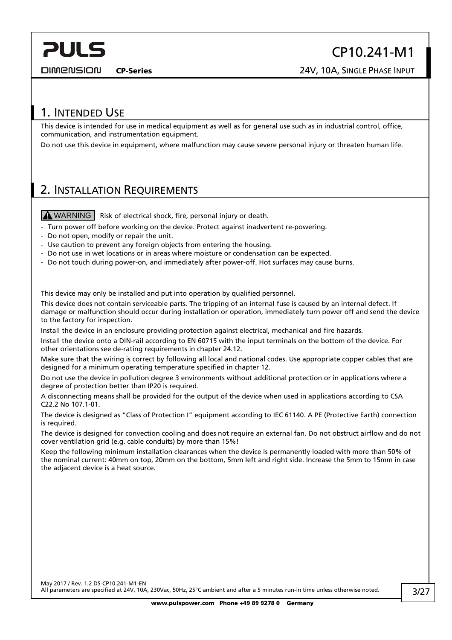<span id="page-2-0"></span>**DIMENSION** 

CP10.241-M1

CP-Series 24V, 10A, SINGLE PHASE INPUT

#### 1. INTENDED USE

This device is intended for use in medical equipment as well as for general use such as in industrial control, office, communication, and instrumentation equipment.

Do not use this device in equipment, where malfunction may cause severe personal injury or threaten human life.

#### <span id="page-2-1"></span>2. INSTALLATION REQUIREMENTS

**A WARNING** Risk of electrical shock, fire, personal injury or death.

- Turn power off before working on the device. Protect against inadvertent re-powering.
- Do not open, modify or repair the unit.
- Use caution to prevent any foreign objects from entering the housing.
- Do not use in wet locations or in areas where moisture or condensation can be expected.
- Do not touch during power-on, and immediately after power-off. Hot surfaces may cause burns.

This device may only be installed and put into operation by qualified personnel.

This device does not contain serviceable parts. The tripping of an internal fuse is caused by an internal defect. If damage or malfunction should occur during installation or operation, immediately turn power off and send the device to the factory for inspection.

Install the device in an enclosure providing protection against electrical, mechanical and fire hazards.

Install the device onto a DIN-rail according to EN 60715 with the input terminals on the bottom of the device. For other orientations see de-rating requirements in chapter [24.12](#page-26-1).

Make sure that the wiring is correct by following all local and national codes. Use appropriate copper cables that are designed for a minimum operating temperature specified in chapter [12.](#page-11-1)

Do not use the device in pollution degree 3 environments without additional protection or in applications where a degree of protection better than IP20 is required.

A disconnecting means shall be provided for the output of the device when used in applications according to CSA C22.2 No 107.1-01.

The device is designed as "Class of Protection I" equipment according to IEC 61140. A PE (Protective Earth) connection is required.

The device is designed for convection cooling and does not require an external fan. Do not obstruct airflow and do not cover ventilation grid (e.g. cable conduits) by more than 15%!

Keep the following minimum installation clearances when the device is permanently loaded with more than 50% of the nominal current: 40mm on top, 20mm on the bottom, 5mm left and right side. Increase the 5mm to 15mm in case the adjacent device is a heat source.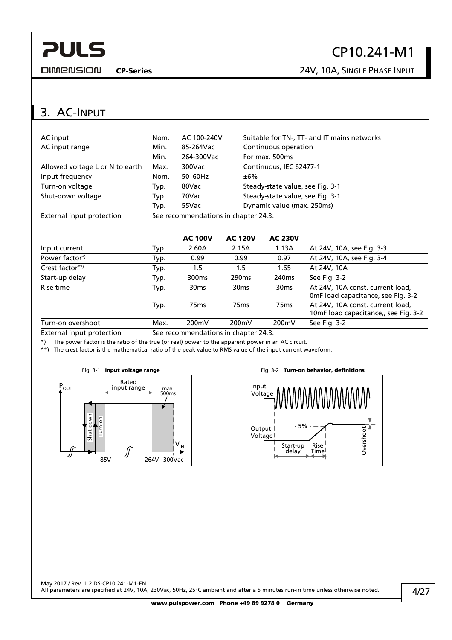<span id="page-3-0"></span>**DIMENSION** 

### CP10.241-M1

CP-Series 24V, 10A, SINGLE PHASE INPUT

#### 3. AC-INPUT

| AC input                        | Nom. | AC 100-240V                          | Suitable for TN-, TT- and IT mains networks |  |  |  |
|---------------------------------|------|--------------------------------------|---------------------------------------------|--|--|--|
| AC input range                  | Min. | 85-264Vac                            | Continuous operation                        |  |  |  |
|                                 | Min. | 264-300Vac                           | For max. 500ms                              |  |  |  |
| Allowed voltage L or N to earth | Max. | 300Vac                               | Continuous, IEC 62477-1                     |  |  |  |
| Input frequency                 | Nom. | $50-60$ Hz                           | ±6%                                         |  |  |  |
| Turn-on voltage                 | Typ. | 80Vac                                | Steady-state value, see Fig. 3-1            |  |  |  |
| Shut-down voltage               | Typ. | 70Vac                                | Steady-state value, see Fig. 3-1            |  |  |  |
|                                 | Typ. | 55Vac                                | Dynamic value (max. 250ms)                  |  |  |  |
| External input protection       |      | See recommendations in chapter 24.3. |                                             |  |  |  |

|                           |      | <b>AC 100V</b>                      | <b>AC 120V</b>    | <b>AC 230V</b>    |                                                                          |
|---------------------------|------|-------------------------------------|-------------------|-------------------|--------------------------------------------------------------------------|
| Input current             | Typ. | 2.60A                               | 2.15A             | 1.13A             | At 24V, 10A, see Fig. 3-3                                                |
| Power factor <sup>*</sup> | Typ. | 0.99                                | 0.99              | 0.97              | At 24V, 10A, see Fig. 3-4                                                |
| Crest factor**)           | Typ. | 1.5                                 | $1.5\,$           | 1.65              | At 24V, 10A                                                              |
| Start-up delay            | Typ. | 300 <sub>ms</sub>                   | 290 <sub>ms</sub> | 240 <sub>ms</sub> | See Fig. 3-2                                                             |
| Rise time                 | Typ. | 30 <sub>ms</sub>                    | 30 <sub>ms</sub>  | 30 <sub>ms</sub>  | At 24V, 10A const. current load,<br>OmF load capacitance, see Fig. 3-2   |
|                           | Typ. | 75 <sub>ms</sub>                    | 75 <sub>ms</sub>  | 75 <sub>ms</sub>  | At 24V, 10A const. current load,<br>10mF load capacitance,, see Fig. 3-2 |
| Turn-on overshoot         | Max. | 200mV                               | 200mV             | 200mV             | See Fig. 3-2                                                             |
| External input protection |      | See recommendations in chapter 24.2 |                   |                   |                                                                          |

ommendations in cha

\*) The power factor is the ratio of the true (or real) power to the apparent power in an AC circuit.

<span id="page-3-1"></span>\*\*) The crest factor is the mathematical ratio of the peak value to RMS value of the input current waveform.



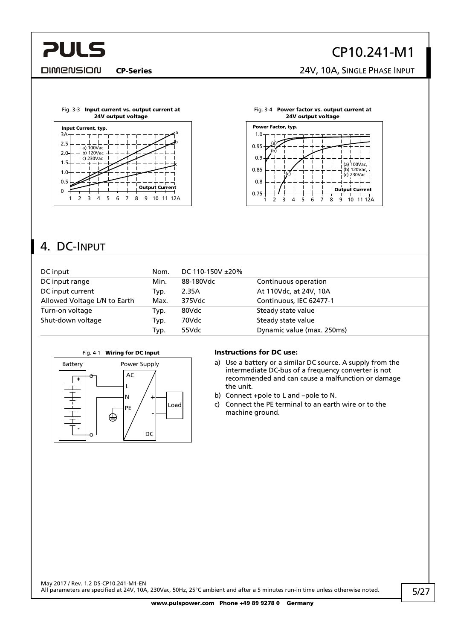#### <span id="page-4-0"></span>**DIMENSION**

### CP10.241-M1

CP-Series 24V, 10A, SINGLE PHASE INPUT

<span id="page-4-1"></span>



### 4. DC-INPUT

| DC input                     | Nom. | DC 110-150V ±20% |                            |
|------------------------------|------|------------------|----------------------------|
| DC input range               | Min. | 88-180Vdc        | Continuous operation       |
| DC input current             | Typ. | 2.35A            | At 110Vdc, at 24V, 10A     |
| Allowed Voltage L/N to Earth | Max. | 375Vdc           | Continuous, IEC 62477-1    |
| Turn-on voltage              | Typ. | 80Vdc            | Steady state value         |
| Shut-down voltage            | Typ. | 70Vdc            | Steady state value         |
|                              | Typ. | 55Vdc            | Dynamic value (max. 250ms) |





#### Fig. 4-1 Wiring for DC Input **Instructions for DC use:**

- a) Use a battery or a similar DC source. A supply from the intermediate DC-bus of a frequency converter is not recommended and can cause a malfunction or damage the unit.
- b) Connect +pole to L and –pole to N.
- c) Connect the PE terminal to an earth wire or to the machine ground.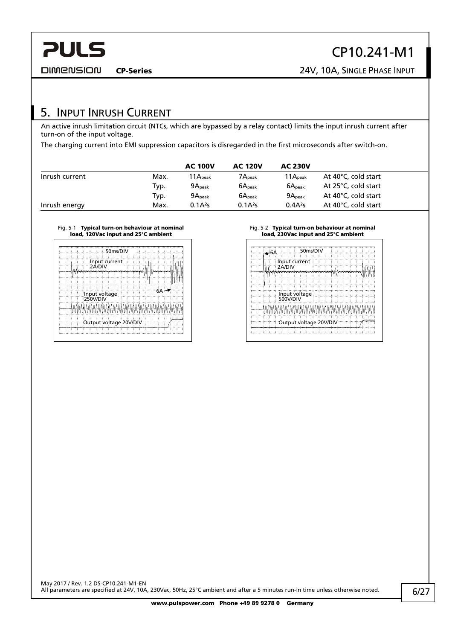<span id="page-5-0"></span>**DIMENSION** 

CP-Series 24V, 10A, SINGLE PHASE INPUT

#### 5. INPUT INRUSH CURRENT

An active inrush limitation circuit (NTCs, which are bypassed by a relay contact) limits the input inrush current after turn-on of the input voltage.

The charging current into EMI suppression capacitors is disregarded in the first microseconds after switch-on.

|                |      | <b>AC 100V</b>       | <b>AC 120V</b>        | <b>AC 230V</b>      |                     |
|----------------|------|----------------------|-----------------------|---------------------|---------------------|
| Inrush current | Max. | 11 $A_{\text{peak}}$ | $7{\sf A}_{\sf peak}$ | $11A_{\text{peak}}$ | At 40°C, cold start |
|                | Typ. | 9A <sub>peak</sub>   | $6A_{\text{peak}}$    | 6A <sub>peak</sub>  | At 25°C, cold start |
|                | Typ. | 9A <sub>peak</sub>   | $6A_{\text{peak}}$    | 9A <sub>peak</sub>  | At 40°C, cold start |
| Inrush energy  | Max. | $0.1A^2s$            | $0.1A^{2}s$           | $0.4A^2s$           | At 40°C, cold start |

#### Fig. 5-1 Typical turn-on behaviour at nominal load, 120Vac input and 25°C ambient

|               | 50ms/DIV |                        |  |
|---------------|----------|------------------------|--|
| Input current |          |                        |  |
|               |          |                        |  |
| Input voltage |          | 6Α                     |  |
|               |          | WWWWWWWWAAAWAANAWAWA   |  |
|               |          |                        |  |
|               |          | Output voltage 20V/DIV |  |

#### Fig. 5-2 Typical turn-on behaviour at nominal load, 230Vac input and 25°C ambient

| 6A∻ |                                | 50ms/DIV |  |  |
|-----|--------------------------------|----------|--|--|
|     | Input current<br>2Á/DIV        |          |  |  |
|     |                                |          |  |  |
|     |                                |          |  |  |
|     |                                |          |  |  |
|     | Input voltage<br>500V/DIV      |          |  |  |
|     | MAAMAMAMAMAMAMAMAMAMAMAMAMAMAM |          |  |  |
|     |                                |          |  |  |
|     | Output voltage 20V/DIV         |          |  |  |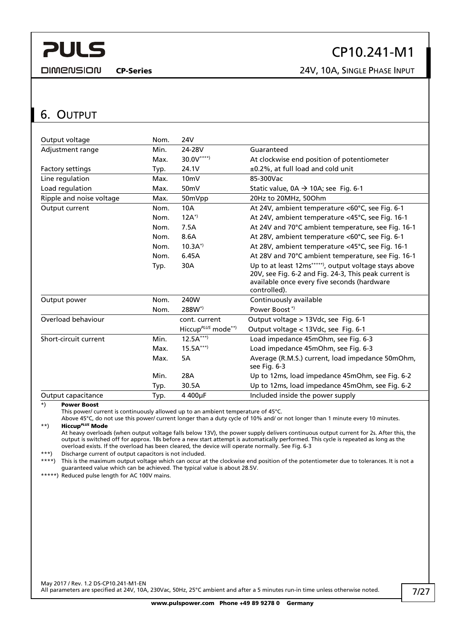<span id="page-6-0"></span>**DIMENSION** 

CP10.241-M1

CP-Series 24V, 10A, SINGLE PHASE INPUT

#### <span id="page-6-1"></span>6. OUTPUT

| Output voltage           | Nom. | 24V                                  |                                                                                                                                                                               |
|--------------------------|------|--------------------------------------|-------------------------------------------------------------------------------------------------------------------------------------------------------------------------------|
| Adjustment range         | Min. | 24-28V                               | Guaranteed                                                                                                                                                                    |
|                          | Max. | $30.0V^{***}$                        | At clockwise end position of potentiometer                                                                                                                                    |
| Factory settings         | Typ. | 24.1V                                | ±0.2%, at full load and cold unit                                                                                                                                             |
| Line regulation          | Max. | 10 <sub>m</sub>                      | 85-300Vac                                                                                                                                                                     |
| Load regulation          | Max. | 50 <sub>m</sub> V                    | Static value, $0A \rightarrow 10A$ ; see Fig. 6-1                                                                                                                             |
| Ripple and noise voltage | Max. | 50mVpp                               | 20Hz to 20MHz, 50Ohm                                                                                                                                                          |
| Output current           | Nom. | 10A                                  | At 24V, ambient temperature <60°C, see Fig. 6-1                                                                                                                               |
|                          | Nom. | $12A^*$                              | At 24V, ambient temperature <45°C, see Fig. 16-1                                                                                                                              |
|                          | Nom. | 7.5A                                 | At 24V and 70°C ambient temperature, see Fig. 16-1                                                                                                                            |
|                          | Nom. | 8.6A                                 | At 28V, ambient temperature <60°C, see Fig. 6-1                                                                                                                               |
|                          | Nom. | $10.3A^{*}$                          | At 28V, ambient temperature <45°C, see Fig. 16-1                                                                                                                              |
|                          | Nom. | 6.45A                                | At 28V and 70°C ambient temperature, see Fig. 16-1                                                                                                                            |
|                          | Typ. | 30A                                  | Up to at least 12ms*****), output voltage stays above<br>20V, see Fig. 6-2 and Fig. 24-3, This peak current is<br>available once every five seconds (hardware<br>controlled). |
| Output power             | Nom. | 240W                                 | Continuously available                                                                                                                                                        |
|                          | Nom. | 288W <sup>*</sup>                    | Power Boost <sup>*</sup>                                                                                                                                                      |
| Overload behaviour       |      | cont. current                        | Output voltage > 13Vdc, see Fig. 6-1                                                                                                                                          |
|                          |      | Hiccup $P^{LUS}$ mode <sup>**)</sup> | Output voltage < 13Vdc, see Fig. 6-1                                                                                                                                          |
| Short-circuit current    | Min. | $12.5A***$                           | Load impedance 45mOhm, see Fig. 6-3                                                                                                                                           |
|                          | Max. | $15.5A***$                           | Load impedance 45mOhm, see Fig. 6-3                                                                                                                                           |
|                          | Max. | 5A                                   | Average (R.M.S.) current, load impedance 50mOhm,<br>see Fig. 6-3                                                                                                              |
|                          | Min. | 28A                                  | Up to 12ms, load impedance 45mOhm, see Fig. 6-2                                                                                                                               |
|                          | Typ. | 30.5A                                | Up to 12ms, load impedance 45mOhm, see Fig. 6-2                                                                                                                               |
| Output capacitance       | Typ. | 4 400µF                              | Included inside the power supply                                                                                                                                              |

\*) Power Boost

This power/ current is continuously allowed up to an ambient temperature of 45°C.

Above 45°C, do not use this power/ current longer than a duty cycle of 10% and/ or not longer than 1 minute every 10 minutes. \*\*) Hiccup*PLUS* Mode

At heavy overloads (when output voltage falls below 13V), the power supply delivers continuous output current for 2s. After this, the output is switched off for approx. 18s before a new start attempt is automatically performed. This cycle is repeated as long as the overload exists. If the overload has been cleared, the device will operate normally. See [Fig. 6-3](#page-7-2) 

\*\*\*) Discharge current of output capacitors is not included.<br>\*\*\*\*) This is the maximum output voltage which can occur at

This is the maximum output voltage which can occur at the clockwise end position of the potentiometer due to tolerances. It is not a guaranteed value which can be achieved. The typical value is about 28.5V.

\*\*\*\*\*) Reduced pulse length for AC 100V mains.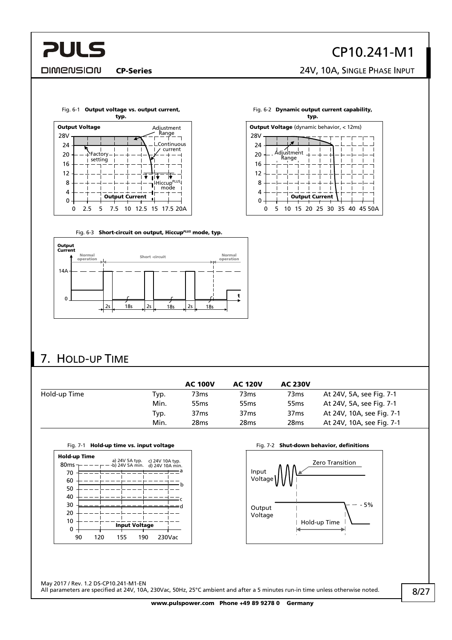#### <span id="page-7-0"></span>**DIMENSION**

## CP10.241-M1

CP-Series 24V, 10A, SINGLE PHASE INPUT

<span id="page-7-1"></span>

Fig. 6-2 Dynamic output current capability, typ.



Fig. 6-3 Short-circuit on output, Hiccup*PLUS* mode, typ.

<span id="page-7-2"></span>

### 7. HOLD-UP TIME

|              |      | <b>AC 100V</b>   | <b>AC 120V</b>   | <b>AC 230V</b>   |                           |
|--------------|------|------------------|------------------|------------------|---------------------------|
| Hold-up Time | Typ. | 73ms             | 73ms             | 73ms             | At 24V, 5A, see Fig. 7-1  |
|              | Min. | 55 <sub>ms</sub> | 55 <sub>ms</sub> | 55 <sub>ms</sub> | At 24V, 5A, see Fig. 7-1  |
|              | Typ. | 37 <sub>ms</sub> | 37 <sub>ms</sub> | 37 <sub>ms</sub> | At 24V, 10A, see Fig. 7-1 |
|              | Min. | 28 <sub>ms</sub> | 28 <sub>ms</sub> | 28 <sub>ms</sub> | At 24V, 10A, see Fig. 7-1 |

<span id="page-7-3"></span>

|                                  | Fig. 7-1 <b>Hold-up time vs. Input voltage</b>                   |   |  |  |  |  |
|----------------------------------|------------------------------------------------------------------|---|--|--|--|--|
| Hold-up Time<br>80 <sub>ms</sub> | a) 24V 5A typ. c) 24V 10A typ.<br>b) 24V 5A min. d) 24V 10A min. |   |  |  |  |  |
| 70                               |                                                                  | a |  |  |  |  |
| 60                               |                                                                  | h |  |  |  |  |
| 50                               |                                                                  |   |  |  |  |  |
| 40                               |                                                                  |   |  |  |  |  |
| 30                               |                                                                  |   |  |  |  |  |
| 20                               |                                                                  |   |  |  |  |  |
| 10                               |                                                                  |   |  |  |  |  |
|                                  | <b>Input Voltage</b>                                             |   |  |  |  |  |

90 120 155 190 230Vac

Hold-up time vs. input voltage example and the Fig. 7-2 Shut-down behavior, definitions



May 2017 / Rev. 1.2 DS-CP10.241-M1-EN All parameters are specified at 24V, 10A, 230Vac, 50Hz, 25°C ambient and after a 5 minutes run-in time unless otherwise noted.

www.pulspower.com Phone +49 89 9278 0 Germany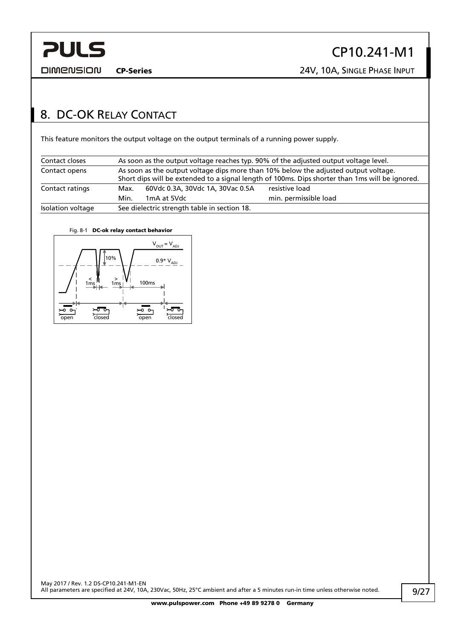<span id="page-8-0"></span>

CP-Series 24V, 10A, SINGLE PHASE INPUT

#### <span id="page-8-1"></span>8. DC-OK RELAY CONTACT

This feature monitors the output voltage on the output terminals of a running power supply.

| Contact closes    |      | As soon as the output voltage reaches typ. 90% of the adjusted output voltage level.                                                                                                   |                       |  |  |  |
|-------------------|------|----------------------------------------------------------------------------------------------------------------------------------------------------------------------------------------|-----------------------|--|--|--|
| Contact opens     |      | As soon as the output voltage dips more than 10% below the adjusted output voltage.<br>Short dips will be extended to a signal length of 100ms. Dips shorter than 1ms will be ignored. |                       |  |  |  |
| Contact ratings   | Max. | 60Vdc 0.3A, 30Vdc 1A, 30Vac 0.5A                                                                                                                                                       | resistive load        |  |  |  |
|                   | Min. | 1mA at 5Vdc                                                                                                                                                                            | min. permissible load |  |  |  |
| Isolation voltage |      | See dielectric strength table in section 18.                                                                                                                                           |                       |  |  |  |

#### Fig. 8-1 DC-ok relay contact behavior

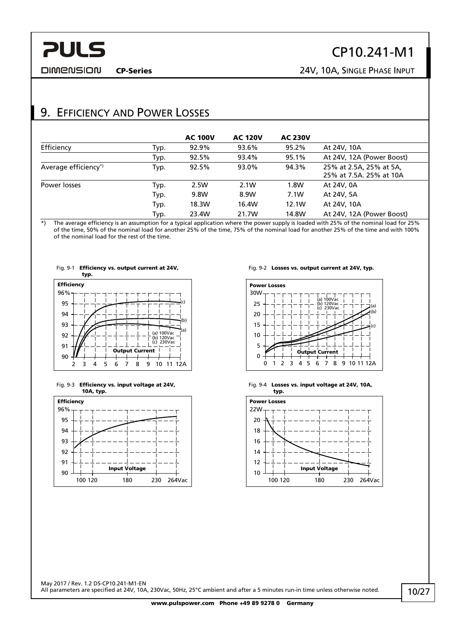### CP10.241-M1

<span id="page-9-0"></span>**DIMENSION** 

CP-Series 24V, 10A, SINGLE PHASE INPUT

### 9. EFFICIENCY AND POWER LOSSES

|                      |      | <b>AC 100V</b> | <b>AC 120V</b> | <b>AC 230V</b> |                                                    |
|----------------------|------|----------------|----------------|----------------|----------------------------------------------------|
| Efficiency           | Typ. | 92.9%          | 93.6%          | 95.2%          | At 24V, 10A                                        |
|                      | Typ. | 92.5%          | 93.4%          | 95.1%          | At 24V, 12A (Power Boost)                          |
| Average efficiency*) | Typ. | 92.5%          | 93.0%          | 94.3%          | 25% at 2.5A, 25% at 5A,<br>25% at 7.5A. 25% at 10A |
| Power losses         | Typ. | 2.5W           | 2.1W           | 1.8W           | At 24V, 0A                                         |
|                      | Typ. | 9.8W           | 8.9W           | 7.1W           | At 24V, 5A                                         |
|                      | Typ. | 18.3W          | 16.4W          | 12.1W          | At 24V, 10A                                        |
|                      | Typ. | 23.4W          | 21.7W          | 14.8W          | At 24V, 12A (Power Boost)                          |

\*) The average efficiency is an assumption for a typical application where the power supply is loaded with 25% of the nominal load for 25% of the time, 50% of the nominal load for another 25% of the time, 75% of the nominal load for another 25% of the time and with 100% of the nominal load for the rest of the time.



Fig. 9-3 Efficiency vs. input voltage at 24V, 10A, typ.



Fig. 9-2 Losses vs. output current at 24V, typ.







May 2017 / Rev. 1.2 DS-CP10.241-M1-EN All parameters are specified at 24V, 10A, 230Vac, 50Hz, 25°C ambient and after a 5 minutes run-in time unless otherwise noted.

www.pulspower.com Phone +49 89 9278 0 Germany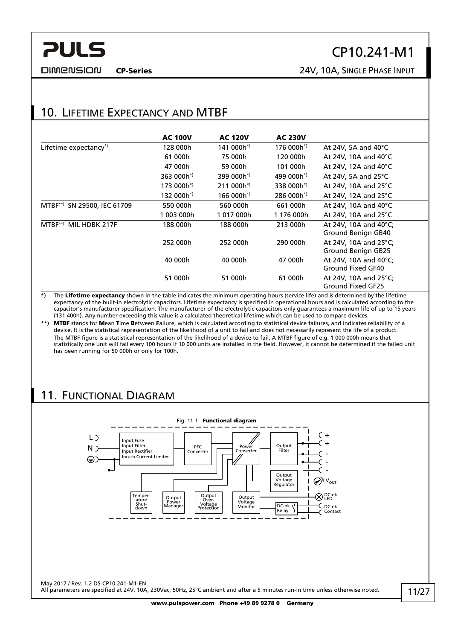<span id="page-10-0"></span>**DIMENSION** 

### CP10.241-M1

CP-Series 24V, 10A, SINGLE PHASE INPUT

#### 10. LIFETIME EXPECTANCY AND MTBF

|                                    | <b>AC 100V</b>         | <b>AC 120V</b>         | <b>AC 230V</b>         |                                                    |
|------------------------------------|------------------------|------------------------|------------------------|----------------------------------------------------|
| Lifetime expectancy*)              | 128 000h               | 141 000h <sup>*)</sup> | 176 000h*)             | At 24V, 5A and $40^{\circ}$ C                      |
|                                    | 61 000h                | 75 000h                | 120 000h               | At 24V, 10A and 40 $^{\circ}$ C                    |
|                                    | 47 000h                | 59 000h                | 101 000h               | At 24V, 12A and 40 $^{\circ}$ C                    |
|                                    | 363 000h <sup>*)</sup> | 399 000h <sup>*)</sup> | 499 000h <sup>*)</sup> | At 24V, 5A and 25 $\degree$ C                      |
|                                    | $173000h^{*}$          | $211000h^*$            | 338 000h <sup>*</sup>  | At 24V, 10A and 25 $\degree$ C                     |
|                                    | 132 000h*)             | 166 000h*)             | $286000h^*$            | At 24V, 12A and 25 $\degree$ C                     |
| SN 29500, IEC 61709<br>$MTBF^{**}$ | 550 000h               | 560 000h               | 661 000h               | At 24V, 10A and 40 $^{\circ}$ C                    |
|                                    | 1 003 000h             | 1017000h               | 1 176 000h             | At 24V, 10A and 25 $\degree$ C                     |
| $MTBF^{**}$<br>MIL HDBK 217F       | 188 000h               | 188 000h               | 213 000h               | At 24V, 10A and 40°C;<br>Ground Benign GB40        |
|                                    | 252 000h               | 252 000h               | 290 000h               | At 24V, 10A and 25°C;<br><b>Ground Benign GB25</b> |
|                                    | 40 000h                | 40 000h                | 47 000h                | At 24V, 10A and 40°C;<br>Ground Fixed GF40         |
|                                    | 51 000h                | 51 000h                | 61 000h                | At 24V, 10A and 25°C;<br>Ground Fixed GF25         |

\*) The Lifetime expectancy shown in the table indicates the minimum operating hours (service life) and is determined by the lifetime expectancy of the built-in electrolytic capacitors. Lifetime expectancy is specified in operational hours and is calculated according to the capacitor's manufacturer specification. The manufacturer of the electrolytic capacitors only guarantees a maximum life of up to 15 years (131 400h). Any number exceeding this value is a calculated theoretical lifetime which can be used to compare devices.

\*\*) MTBF stands for Mean Time Between Failure, which is calculated according to statistical device failures, and indicates reliability of a device. It is the statistical representation of the likelihood of a unit to fail and does not necessarily represent the life of a product. The MTBF figure is a statistical representation of the likelihood of a device to fail. A MTBF figure of e.g. 1 000 000h means that statistically one unit will fail every 100 hours if 10 000 units are installed in the field. However, it cannot be determined if the failed unit has been running for 50 000h or only for 100h.

### 11. FUNCTIONAL DIAGRAM



www.pulspower.com Phone +49 89 9278 0 Germany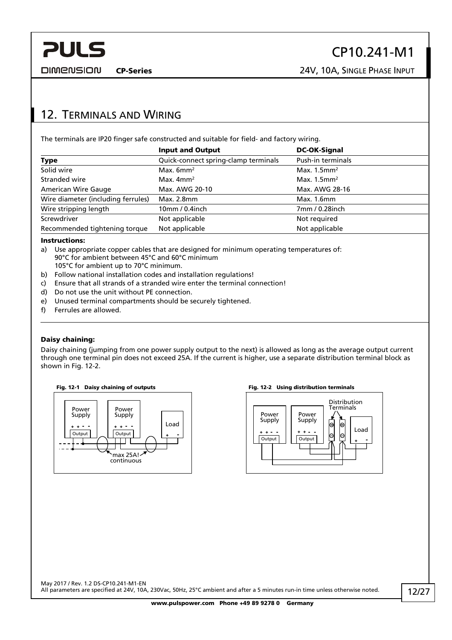<span id="page-11-0"></span>

CP-Series 24V, 10A, SINGLE PHASE INPUT

#### <span id="page-11-1"></span>12. TERMINALS AND WIRING

The terminals are IP20 finger safe constructed and suitable for field- and factory wiring.

|                                    | <b>Input and Output</b>              | <b>DC-OK-Signal</b>        |
|------------------------------------|--------------------------------------|----------------------------|
| <b>Type</b>                        | Quick-connect spring-clamp terminals | Push-in terminals          |
| Solid wire                         | Max. $6mm^2$                         | Max. $1.5$ mm <sup>2</sup> |
| Stranded wire                      | Max. $4mm2$                          | Max. $1.5$ mm <sup>2</sup> |
| <b>American Wire Gauge</b>         | Max. AWG 20-10                       | Max. AWG 28-16             |
| Wire diameter (including ferrules) | Max. 2.8mm                           | Max. 1.6mm                 |
| Wire stripping length              | $10mm/0.4$ inch                      | 7mm / 0.28inch             |
| Screwdriver                        | Not applicable                       | Not required               |
| Recommended tightening torque      | Not applicable                       | Not applicable             |

#### Instructions:

- a) Use appropriate copper cables that are designed for minimum operating temperatures of: 90°C for ambient between 45°C and 60°C minimum 105°C for ambient up to 70°C minimum.
- b) Follow national installation codes and installation regulations!
- c) Ensure that all strands of a stranded wire enter the terminal connection!
- d) Do not use the unit without PE connection.
- e) Unused terminal compartments should be securely tightened.
- f) Ferrules are allowed.

#### Daisy chaining:

Daisy chaining (jumping from one power supply output to the next) is allowed as long as the average output current through one terminal pin does not exceed 25A. If the current is higher, use a separate distribution terminal block as shown in [Fig. 12-2.](#page-11-2)

<span id="page-11-2"></span>



#### Fig. 12-1 Daisy chaining of outputs Fig. 12-2 Using distribution terminals

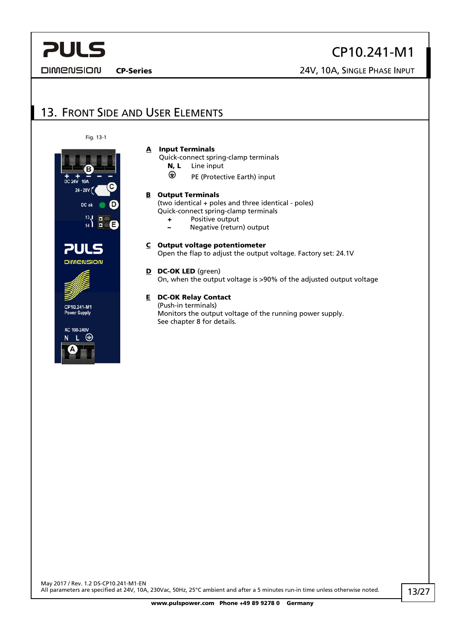<span id="page-12-0"></span>**DIMENSION** 

CP10.241-M1

CP-Series 24V, 10A, SINGLE PHASE INPUT

#### 13. FRONT SIDE AND USER ELEMENTS

A Input Terminals

N, L Line input

Quick-connect spring-clamp terminals

PE (Protective Earth) input

Fig. 13-1



AC: 100-240V

**B** Output Terminals (two identical + poles and three identical - poles) Quick-connect spring-clamp terminals + Positive output – Negative (return) output  $C$  Output voltage potentiometer Open the flap to adjust the output voltage. Factory set: 24.1V D DC-OK LED (areen) On, when the output voltage is >90% of the adjusted output voltage E DC-OK Relay Contact (Push-in terminals)

Monitors the output voltage of the running power supply. See chapter [8](#page-8-1) for details.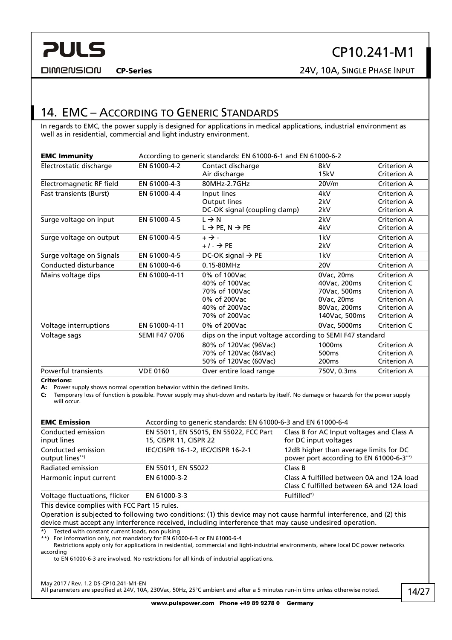<span id="page-13-0"></span>

CP10.241-M1

**DIMENSION** 

#### 14. EMC – ACCORDING TO GENERIC STANDARDS

In regards to EMC, the power supply is designed for applications in medical applications, industrial environment as well as in residential, commercial and light industry environment.

| <b>EMC Immunity</b>      | According to generic standards: EN 61000-6-1 and EN 61000-6-2 |                                                          |                    |                                   |
|--------------------------|---------------------------------------------------------------|----------------------------------------------------------|--------------------|-----------------------------------|
| Electrostatic discharge  | EN 61000-4-2                                                  | Contact discharge<br>Air discharge                       | 8kV<br>15kV        | Criterion A<br><b>Criterion A</b> |
| Electromagnetic RF field | EN 61000-4-3                                                  | 80MHz-2.7GHz                                             | 20V/m              | Criterion A                       |
| Fast transients (Burst)  | EN 61000-4-4                                                  | Input lines                                              | 4kV                | Criterion A                       |
|                          |                                                               | Output lines                                             | 2kV                | Criterion A                       |
|                          |                                                               | DC-OK signal (coupling clamp)                            | 2kV                | <b>Criterion A</b>                |
| Surge voltage on input   | EN 61000-4-5                                                  | $L \rightarrow N$                                        | 2kV                | Criterion A                       |
|                          |                                                               | $L \rightarrow PE, N \rightarrow PE$                     | 4kV                | <b>Criterion A</b>                |
| Surge voltage on output  | EN 61000-4-5                                                  | $+ \rightarrow -$                                        | 1kV                | Criterion A                       |
|                          |                                                               | $+/ \rightarrow$ PE                                      | 2kV                | <b>Criterion A</b>                |
| Surge voltage on Signals | EN 61000-4-5                                                  | DC-OK signal $\rightarrow$ PE                            | 1kV                | Criterion A                       |
| Conducted disturbance    | EN 61000-4-6                                                  | 0.15-80MHz                                               | <b>20V</b>         | <b>Criterion A</b>                |
| Mains voltage dips       | EN 61000-4-11                                                 | 0% of 100Vac                                             | 0Vac, 20ms         | Criterion A                       |
|                          |                                                               | 40% of 100Vac                                            | 40Vac, 200ms       | Criterion C                       |
|                          |                                                               | 70% of 100Vac                                            | 70Vac, 500ms       | Criterion A                       |
|                          |                                                               | 0% of 200Vac                                             | 0Vac, 20ms         | Criterion A                       |
|                          |                                                               | 40% of 200Vac                                            | 80Vac, 200ms       | <b>Criterion A</b>                |
|                          |                                                               | 70% of 200Vac                                            | 140Vac, 500ms      | <b>Criterion A</b>                |
| Voltage interruptions    | EN 61000-4-11                                                 | 0% of 200Vac                                             | 0Vac, 5000ms       | Criterion C                       |
| Voltage sags             | SEMI F47 0706                                                 | dips on the input voltage according to SEMI F47 standard |                    |                                   |
|                          |                                                               | 80% of 120Vac (96Vac)                                    | 1000 <sub>ms</sub> | Criterion A                       |
|                          |                                                               | 70% of 120Vac (84Vac)                                    | 500 <sub>ms</sub>  | <b>Criterion A</b>                |
|                          |                                                               | 50% of 120Vac (60Vac)                                    | 200 <sub>ms</sub>  | <b>Criterion A</b>                |
| Powerful transients      | <b>VDE 0160</b>                                               | Over entire load range                                   | 750V, 0.3ms        | <b>Criterion A</b>                |

Criterions:

A: Power supply shows normal operation behavior within the defined limits.

C: Temporary loss of function is possible. Power supply may shut-down and restarts by itself. No damage or hazards for the power supply will occur.

| <b>EMC Emission</b>                   | According to generic standards: EN 61000-6-3 and EN 61000-6-4    |                                                                                        |  |  |
|---------------------------------------|------------------------------------------------------------------|----------------------------------------------------------------------------------------|--|--|
| Conducted emission<br>input lines     | EN 55011, EN 55015, EN 55022, FCC Part<br>15, CISPR 11, CISPR 22 | Class B for AC Input voltages and Class A<br>for DC input voltages                     |  |  |
| Conducted emission<br>output lines**) | IEC/CISPR 16-1-2, IEC/CISPR 16-2-1                               | 12dB higher than average limits for DC<br>power port according to EN 61000-6-3**)      |  |  |
| Radiated emission                     | EN 55011, EN 55022                                               | Class B                                                                                |  |  |
| Harmonic input current                | EN 61000-3-2                                                     | Class A fulfilled between 0A and 12A load<br>Class C fulfilled between 6A and 12A load |  |  |
| Voltage fluctuations, flicker         | EN 61000-3-3                                                     | $Fulfilled^*$                                                                          |  |  |

This device complies with FCC Part 15 rules.

Operation is subjected to following two conditions: (1) this device may not cause harmful interference, and (2) this device must accept any interference received, including interference that may cause undesired operation.

\*) Tested with constant current loads, non pulsing

\*\*) For information only, not mandatory for EN 61000-6-3 or EN 61000-6-4

 Restrictions apply only for applications in residential, commercial and light-industrial environments, where local DC power networks according

to EN 61000-6-3 are involved. No restrictions for all kinds of industrial applications.

May 2017 / Rev. 1.2 DS-CP10.241-M1-EN

All parameters are specified at 24V, 10A, 230Vac, 50Hz, 25°C ambient and after a 5 minutes run-in time unless otherwise noted.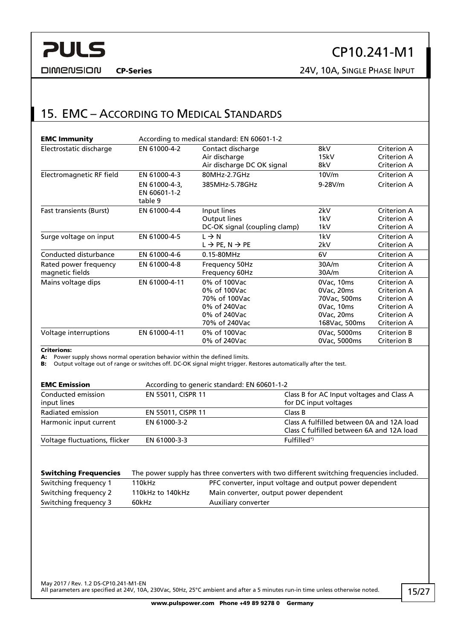<span id="page-14-0"></span>**DIMENSION** 

### CP10.241-M1

CP-Series 24V, 10A, SINGLE PHASE INPUT

#### 15. EMC – ACCORDING TO MEDICAL STANDARDS

| <b>EMC Immunity</b>                      | According to medical standard: EN 60601-1-2 |                                                                  |                    |                                                  |  |
|------------------------------------------|---------------------------------------------|------------------------------------------------------------------|--------------------|--------------------------------------------------|--|
| Electrostatic discharge                  | EN 61000-4-2                                | Contact discharge<br>Air discharge<br>Air discharge DC OK signal | 8kV<br>15kV<br>8kV | Criterion A<br>Criterion A<br><b>Criterion A</b> |  |
| Electromagnetic RF field                 | EN 61000-4-3                                | 80MHz-2.7GHz                                                     | 10V/m              | Criterion A                                      |  |
|                                          | EN 61000-4-3,<br>EN 60601-1-2<br>table 9    | 385MHz-5.78GHz                                                   | $9-28V/m$          | Criterion A                                      |  |
| <b>Fast transients (Burst)</b>           | EN 61000-4-4                                | Input lines                                                      | 2kV                | Criterion A                                      |  |
|                                          |                                             | Output lines                                                     | 1kV                | <b>Criterion A</b>                               |  |
|                                          |                                             | DC-OK signal (coupling clamp)                                    | 1kV                | Criterion A                                      |  |
| Surge voltage on input                   | EN 61000-4-5                                | $L \rightarrow N$                                                | 1kV                | Criterion A                                      |  |
|                                          |                                             | $L \rightarrow PE$ , N $\rightarrow PE$                          | 2kV                | Criterion A                                      |  |
| Conducted disturbance                    | EN 61000-4-6                                | 0.15-80MHz                                                       | 6V                 | Criterion A                                      |  |
| Rated power frequency<br>magnetic fields | EN 61000-4-8                                | Frequency 50Hz<br>Frequency 60Hz                                 | 30A/m<br>30A/m     | Criterion A<br>Criterion A                       |  |
| Mains voltage dips                       | EN 61000-4-11                               | 0% of 100Vac                                                     | 0Vac, 10ms         | Criterion A                                      |  |
|                                          |                                             | 0% of 100Vac                                                     | 0Vac, 20ms         | Criterion A                                      |  |
|                                          |                                             | 70% of 100Vac                                                    | 70Vac, 500ms       | Criterion A                                      |  |
|                                          |                                             | 0% of 240Vac                                                     | 0Vac, 10ms         | Criterion A                                      |  |
|                                          |                                             | 0% of 240Vac                                                     | 0Vac, 20ms         | Criterion A                                      |  |
|                                          |                                             | 70% of 240Vac                                                    | 168Vac, 500ms      | Criterion A                                      |  |
| Voltage interruptions                    | EN 61000-4-11                               | 0% of 100Vac                                                     | 0Vac, 5000ms       | <b>Criterion B</b>                               |  |
|                                          |                                             | 0% of 240Vac                                                     | 0Vac, 5000ms       | Criterion B                                      |  |
| $Cu$ it and $Cu$                         |                                             |                                                                  |                    |                                                  |  |

rions:

A: Power supply shows normal operation behavior within the defined limits.

B: Output voltage out of range or switches off. DC-OK signal might trigger. Restores automatically after the test.

| <b>EMC Emission</b>               | According to generic standard: EN 60601-1-2 |                                                                                        |
|-----------------------------------|---------------------------------------------|----------------------------------------------------------------------------------------|
| Conducted emission<br>input lines | EN 55011, CISPR 11                          | Class B for AC Input voltages and Class A<br>for DC input voltages                     |
| Radiated emission                 | EN 55011, CISPR 11                          | Class B                                                                                |
| Harmonic input current            | EN 61000-3-2                                | Class A fulfilled between 0A and 12A load<br>Class C fulfilled between 6A and 12A load |
| Voltage fluctuations, flicker     | EN 61000-3-3                                | $Fulfilled^*$                                                                          |

| <b>Switching Frequencies</b> | The power supply has three converters with two different switching frequencies included. |                                                         |  |  |
|------------------------------|------------------------------------------------------------------------------------------|---------------------------------------------------------|--|--|
| Switching frequency 1        | 110kHz                                                                                   | PFC converter, input voltage and output power dependent |  |  |
| Switching frequency 2        | 110kHz to 140kHz                                                                         | Main converter, output power dependent                  |  |  |
| Switching frequency 3        | 60kHz                                                                                    | Auxiliary converter                                     |  |  |
|                              |                                                                                          |                                                         |  |  |

May 2017 / Rev. 1.2 DS-CP10.241-M1-EN All parameters are specified at 24V, 10A, 230Vac, 50Hz, 25°C ambient and after a 5 minutes run-in time unless otherwise noted.

www.pulspower.com Phone +49 89 9278 0 Germany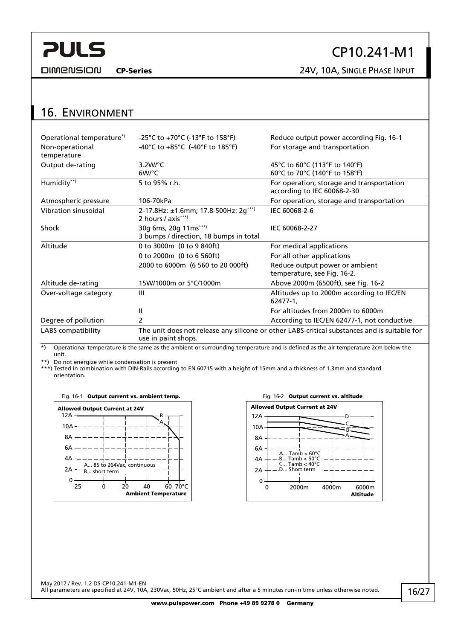<span id="page-15-0"></span>**DIMENSION** 

## 16. ENVIRONMENT

| Operational temperature <sup>*</sup> | -25°C to +70°C (-13°F to 158°F)                                                                                     | Reduce output power according Fig. 16-1                       |  |  |
|--------------------------------------|---------------------------------------------------------------------------------------------------------------------|---------------------------------------------------------------|--|--|
| Non-operational<br>temperature       | -40°C to +85°C (-40°F to 185°F)                                                                                     | For storage and transportation                                |  |  |
| Output de-rating                     | $3.2W$ <sup>o</sup> C                                                                                               | 45°C to 60°C (113°F to 140°F)                                 |  |  |
|                                      | $6W$ <sup>o</sup> C                                                                                                 | 60°C to 70°C (140°F to 158°F)                                 |  |  |
| Humidity**)                          | 5 to 95% r.h.<br>For operation, storage and transportation<br>according to IEC 60068-2-30                           |                                                               |  |  |
| Atmospheric pressure                 | 106-70kPa                                                                                                           | For operation, storage and transportation                     |  |  |
| Vibration sinusoidal                 | 2-17.8Hz: ±1.6mm; 17.8-500Hz: 2g***)<br>2 hours / axis***)                                                          | IEC 60068-2-6                                                 |  |  |
| Shock                                | 30g 6ms, 20g 11ms***)<br>3 bumps / direction, 18 bumps in total                                                     | IEC 60068-2-27                                                |  |  |
| Altitude                             | 0 to 3000m (0 to 9 840ft)                                                                                           | For medical applications                                      |  |  |
|                                      | 0 to 2000m (0 to 6 560ft)                                                                                           | For all other applications                                    |  |  |
|                                      | 2000 to 6000m (6 560 to 20 000ft)                                                                                   | Reduce output power or ambient<br>temperature, see Fig. 16-2. |  |  |
| Altitude de-rating                   | 15W/1000m or 5°C/1000m                                                                                              | Above 2000m (6500ft), see Fig. 16-2                           |  |  |
| Over-voltage category                | $\mathbf{III}$                                                                                                      | Altitudes up to 2000m according to IEC/EN<br>62477-1,         |  |  |
|                                      | Ш                                                                                                                   | For altitudes from 2000m to 6000m                             |  |  |
| Degree of pollution                  | 2                                                                                                                   | According to IEC/EN 62477-1, not conductive                   |  |  |
| <b>LABS</b> compatibility            | The unit does not release any silicone or other LABS-critical substances and is suitable for<br>use in paint shops. |                                                               |  |  |

CP-Series 24V, 10A, SINGLE PHASE INPUT

\*) Operational temperature is the same as the ambient or surrounding temperature and is defined as the air temperature 2cm below the unit.

\*\*) Do not energize while condensation is present

<span id="page-15-1"></span>\*\*\*) Tested in combination with DIN-Rails according to EN 60715 with a height of 15mm and a thickness of 1.3mm and standard orientation.

Fig. 16-1 Output current vs. ambient temp. The South Control of Fig. 16-2 Output current vs. altitude



CP10.241-M1



May 2017 / Rev. 1.2 DS-CP10.241-M1-EN All parameters are specified at 24V, 10A, 230Vac, 50Hz, 25°C ambient and after a 5 minutes run-in time unless otherwise noted.

www.pulspower.com Phone +49 89 9278 0 Germany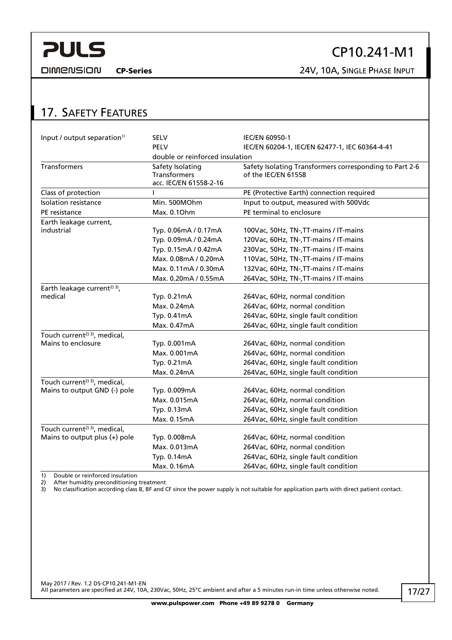<span id="page-16-0"></span>

### CP10.241-M1

CP-Series 24V, 10A, SINGLE PHASE INPUT

#### 17. SAFETY FEATURES

| Input / output separation <sup>1)</sup>   | SELV                                                       | IEC/EN 60950-1                                                                 |
|-------------------------------------------|------------------------------------------------------------|--------------------------------------------------------------------------------|
|                                           | PELV                                                       | IEC/EN 60204-1, IEC/EN 62477-1, IEC 60364-4-41                                 |
|                                           | double or reinforced insulation                            |                                                                                |
| <b>Transformers</b>                       | Safety Isolating<br>Transformers<br>acc. IEC/EN 61558-2-16 | Safety Isolating Transformers corresponding to Part 2-6<br>of the IEC/EN 61558 |
| Class of protection                       |                                                            | PE (Protective Earth) connection required                                      |
| Isolation resistance                      | Min. 500MOhm                                               | Input to output, measured with 500Vdc                                          |
| PE resistance                             | Max. 0.10hm                                                | PE terminal to enclosure                                                       |
| Earth leakage current,                    |                                                            |                                                                                |
| industrial                                | Typ. 0.06mA / 0.17mA                                       | 100Vac, 50Hz, TN-, TT-mains / IT-mains                                         |
|                                           | Typ. 0.09mA / 0.24mA                                       | 120Vac, 60Hz, TN-, TT-mains / IT-mains                                         |
|                                           | Typ. 0.15mA / 0.42mA                                       | 230Vac, 50Hz, TN-, TT-mains / IT-mains                                         |
|                                           | Max. 0.08mA / 0.20mA                                       | 110Vac, 50Hz, TN-, TT-mains / IT-mains                                         |
|                                           | Max. 0.11mA / 0.30mA                                       | 132Vac, 60Hz, TN-, TT-mains / IT-mains                                         |
|                                           | Max. 0.20mA / 0.55mA                                       | 264Vac, 50Hz, TN-, TT-mains / IT-mains                                         |
| Earth leakage current <sup>2) 3)</sup> ,  |                                                            |                                                                                |
| medical                                   | Typ. 0.21mA                                                | 264Vac, 60Hz, normal condition                                                 |
|                                           | Max. 0.24mA                                                | 264Vac, 60Hz, normal condition                                                 |
|                                           | Typ. 0.41mA                                                | 264Vac, 60Hz, single fault condition                                           |
|                                           | Max. 0.47mA                                                | 264Vac, 60Hz, single fault condition                                           |
| Touch current <sup>2) 3)</sup> , medical, |                                                            |                                                                                |
| Mains to enclosure                        | Typ. 0.001mA                                               | 264Vac, 60Hz, normal condition                                                 |
|                                           | Max. 0.001mA                                               | 264Vac, 60Hz, normal condition                                                 |
|                                           | Typ. 0.21mA                                                | 264Vac, 60Hz, single fault condition                                           |
|                                           | Max. 0.24mA                                                | 264Vac, 60Hz, single fault condition                                           |
| Touch current <sup>2) 3)</sup> , medical, |                                                            |                                                                                |
| Mains to output GND (-) pole              | Typ. 0.009mA                                               | 264Vac, 60Hz, normal condition                                                 |
|                                           | Max. 0.015mA                                               | 264Vac, 60Hz, normal condition                                                 |
|                                           | Typ. 0.13mA                                                | 264Vac, 60Hz, single fault condition                                           |
|                                           | Max. 0.15mA                                                | 264Vac, 60Hz, single fault condition                                           |
| Touch current <sup>2) 3)</sup> , medical, |                                                            |                                                                                |
| Mains to output plus $(+)$ pole           | Typ. 0.008mA                                               | 264Vac, 60Hz, normal condition                                                 |
|                                           | Max. 0.013mA                                               | 264Vac, 60Hz, normal condition                                                 |
|                                           | Typ. 0.14mA                                                | 264Vac, 60Hz, single fault condition                                           |
|                                           | Max. 0.16mA                                                | 264Vac, 60Hz, single fault condition                                           |

1) Double or reinforced insulation<br>2) After humidity preconditioning<br>3) No classification according class

2) After humidity preconditioning treatment

3) No classification according class B, BF and CF since the power supply is not suitable for application parts with direct patient contact.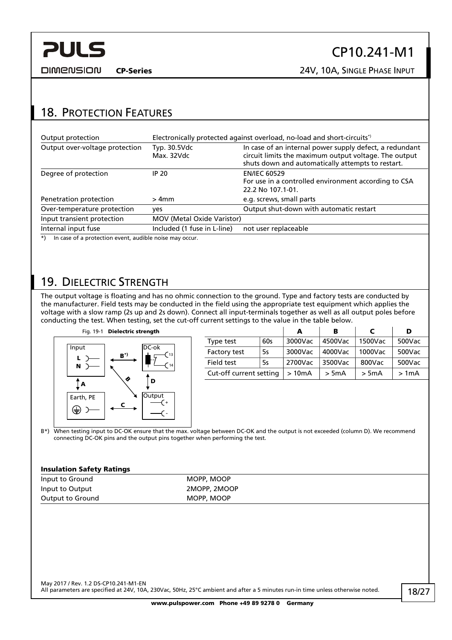<span id="page-17-0"></span>

### CP10.241-M1

CP-Series 24V, 10A, SINGLE PHASE INPUT

#### 18. PROTECTION FEATURES

| Output protection                                        |                                   | Electronically protected against overload, no-load and short-circuits <sup>*</sup>                                                                                    |
|----------------------------------------------------------|-----------------------------------|-----------------------------------------------------------------------------------------------------------------------------------------------------------------------|
| Output over-voltage protection                           | Typ. 30.5Vdc<br>Max. 32Vdc        | In case of an internal power supply defect, a redundant<br>circuit limits the maximum output voltage. The output<br>shuts down and automatically attempts to restart. |
| Degree of protection                                     | <b>IP 20</b>                      | <b>EN/IEC 60529</b><br>For use in a controlled environment according to CSA<br>22.2 No 107.1-01.                                                                      |
| Penetration protection                                   | $>4$ mm                           | e.g. screws, small parts                                                                                                                                              |
| Over-temperature protection                              | yes                               | Output shut-down with automatic restart                                                                                                                               |
| Input transient protection                               | <b>MOV (Metal Oxide Varistor)</b> |                                                                                                                                                                       |
| Internal input fuse                                      | Included (1 fuse in L-line)       | not user replaceable                                                                                                                                                  |
| *) In case of a protection event audible noise may occur |                                   |                                                                                                                                                                       |

\*) In case of a protection event, audible noise may occur.

#### <span id="page-17-1"></span>19. DIELECTRIC STRENGTH

The output voltage is floating and has no ohmic connection to the ground. Type and factory tests are conducted by the manufacturer. Field tests may be conducted in the field using the appropriate test equipment which applies the voltage with a slow ramp (2s up and 2s down). Connect all input-terminals together as well as all output poles before conducting the test. When testing, set the cut-off current settings to the value in the table below.



|                         |     | А       | в       |         | D      |
|-------------------------|-----|---------|---------|---------|--------|
| Type test               | 60s | 3000Vac | 4500Vac | 1500Vac | 500Vac |
| Factory test            | 5s  | 3000Vac | 4000Vac | 1000Vac | 500Vac |
| Field test              | .5s | 2700Vac | 3500Vac | 800Vac  | 500Vac |
| Cut-off current setting |     | >10mA   | > 5mA   | $>$ 5mA | >1mA   |

B\*) When testing input to DC-OK ensure that the max. voltage between DC-OK and the output is not exceeded (column D). We recommend connecting DC-OK pins and the output pins together when performing the test.

#### Insulation Safety Ratings

| Input to Ground  | MOPP, MOOP   |
|------------------|--------------|
| Input to Output  | 2MOPP, 2MOOP |
| Output to Ground | MOPP, MOOP   |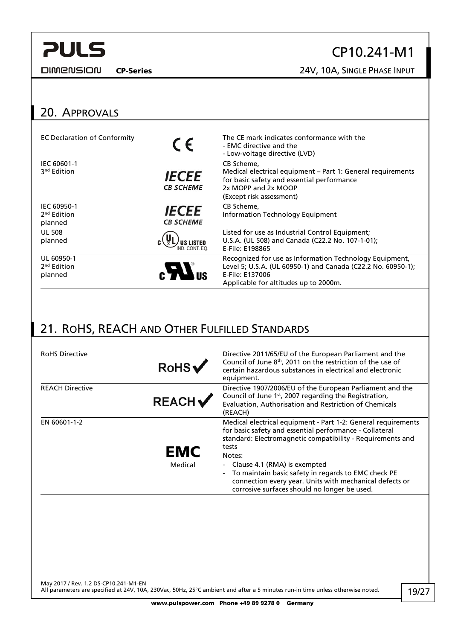<span id="page-18-0"></span>**DIMENSION** 

### CP10.241-M1

CP-Series 24V, 10A, SINGLE PHASE INPUT

#### 20. APPROVALS

| <b>EC Declaration of Conformity</b>               | $\epsilon$                        | The CE mark indicates conformance with the<br>- EMC directive and the<br>- Low-voltage directive (LVD)                                                                              |
|---------------------------------------------------|-----------------------------------|-------------------------------------------------------------------------------------------------------------------------------------------------------------------------------------|
| IEC 60601-1<br>3 <sup>nd</sup> Edition            | <b>IECEE</b><br><b>CB SCHEME</b>  | CB Scheme.<br>Medical electrical equipment – Part 1: General requirements<br>for basic safety and essential performance<br>2x MOPP and 2x MOOP<br>(Except risk assessment)          |
| IEC 60950-1<br>2 <sup>nd</sup> Edition<br>planned | <b>IECEE</b><br><b>CB SCHEME</b>  | CB Scheme,<br>Information Technology Equipment                                                                                                                                      |
| <b>UL 508</b><br>planned                          | <b>US LISTED</b><br>ND. CONT. FO. | Listed for use as Industrial Control Equipment;<br>U.S.A. (UL 508) and Canada (C22.2 No. 107-1-01);<br>E-File: E198865                                                              |
| UL 60950-1<br>2 <sup>nd</sup> Edition<br>planned  |                                   | Recognized for use as Information Technology Equipment,<br>Level 5; U.S.A. (UL 60950-1) and Canada (C22.2 No. 60950-1);<br>E-File: E137006<br>Applicable for altitudes up to 2000m. |

#### 21. ROHS, REACH AND OTHER FULFILLED STANDARDS

| <b>RoHS Directive</b>  | RoHSV                 | Directive 2011/65/EU of the European Parliament and the<br>Council of June 8 <sup>th</sup> , 2011 on the restriction of the use of<br>certain hazardous substances in electrical and electronic<br>equipment.                                                                                                                                                                                                                                             |
|------------------------|-----------------------|-----------------------------------------------------------------------------------------------------------------------------------------------------------------------------------------------------------------------------------------------------------------------------------------------------------------------------------------------------------------------------------------------------------------------------------------------------------|
| <b>REACH Directive</b> | <b>REACH</b>          | Directive 1907/2006/EU of the European Parliament and the<br>Council of June 1 <sup>st</sup> , 2007 regarding the Registration,<br>Evaluation, Authorisation and Restriction of Chemicals<br>(REACH)                                                                                                                                                                                                                                                      |
| EN 60601-1-2           | <b>EMC</b><br>Medical | Medical electrical equipment - Part 1-2: General requirements<br>for basic safety and essential performance - Collateral<br>standard: Electromagnetic compatibility - Requirements and<br>tests<br>Notes:<br>Clause 4.1 (RMA) is exempted<br>$\blacksquare$<br>To maintain basic safety in regards to EMC check PE<br>$\overline{\phantom{0}}$<br>connection every year. Units with mechanical defects or<br>corrosive surfaces should no longer be used. |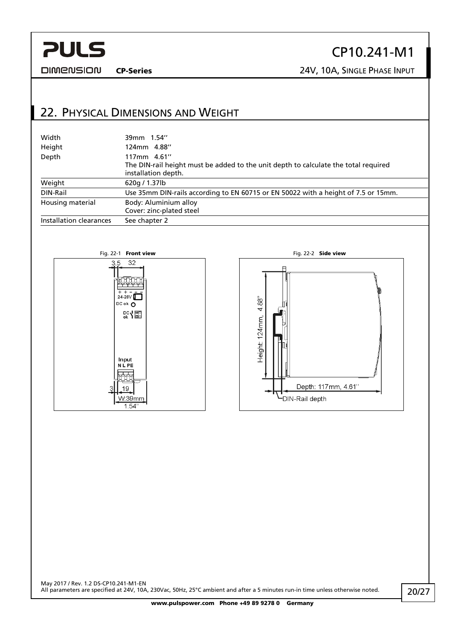#### <span id="page-19-0"></span>**DIMENSION**

### CP10.241-M1

CP-Series 24V, 10A, SINGLE PHASE INPUT

#### 22. PHYSICAL DIMENSIONS AND WEIGHT

| Width                   | 39mm 1.54"                                                                                                                |
|-------------------------|---------------------------------------------------------------------------------------------------------------------------|
| Height                  | 124mm 4.88"                                                                                                               |
| Depth                   | 117mm 4.61"<br>The DIN-rail height must be added to the unit depth to calculate the total required<br>installation depth. |
| Weight                  | 620g / 1.37lb                                                                                                             |
| DIN-Rail                | Use 35mm DIN-rails according to EN 60715 or EN 50022 with a height of 7.5 or 15mm.                                        |
| Housing material        | Body: Aluminium alloy<br>Cover: zinc-plated steel                                                                         |
| Installation clearances | See chapter 2                                                                                                             |



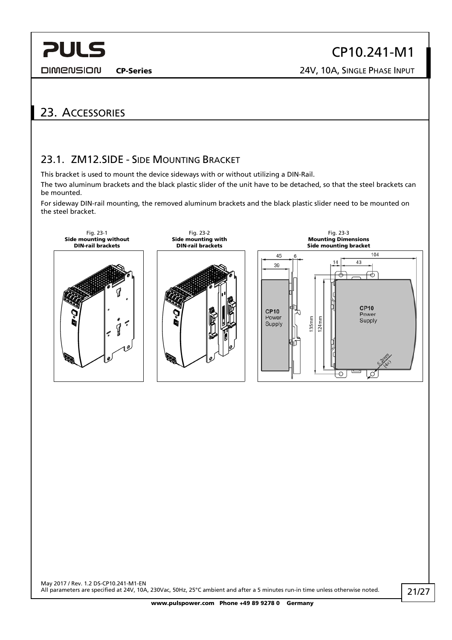<span id="page-20-0"></span>**DIMENSION** 

CP10.241-M1

CP-Series 24V, 10A, SINGLE PHASE INPUT

#### 23. ACCESSORIES

#### 23.1. ZM12.SIDE - SIDE MOUNTING BRACKET

This bracket is used to mount the device sideways with or without utilizing a DIN-Rail.

The two aluminum brackets and the black plastic slider of the unit have to be detached, so that the steel brackets can be mounted.

For sideway DIN-rail mounting, the removed aluminum brackets and the black plastic slider need to be mounted on the steel bracket.

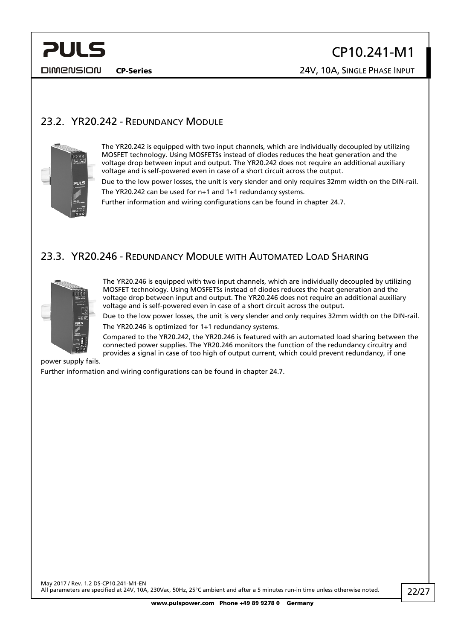<span id="page-21-0"></span>

### CP10.241-M1

CP-Series 24V, 10A, SINGLE PHASE INPUT

#### 23.2. YR20.242 - REDUNDANCY MODULE



The YR20.242 is equipped with two input channels, which are individually decoupled by utilizing MOSFET technology. Using MOSFETSs instead of diodes reduces the heat generation and the voltage drop between input and output. The YR20.242 does not require an additional auxiliary voltage and is self-powered even in case of a short circuit across the output.

Due to the low power losses, the unit is very slender and only requires 32mm width on the DIN-rail. The YR20.242 can be used for n+1 and 1+1 redundancy systems.

Further information and wiring configurations can be found in chapter [24.7](#page-24-1).

#### 23.3. YR20.246 - REDUNDANCY MODULE WITH AUTOMATED LOAD SHARING



The YR20.246 is equipped with two input channels, which are individually decoupled by utilizing MOSFET technology. Using MOSFETSs instead of diodes reduces the heat generation and the voltage drop between input and output. The YR20.246 does not require an additional auxiliary voltage and is self-powered even in case of a short circuit across the output.

Due to the low power losses, the unit is very slender and only requires 32mm width on the DIN-rail. The YR20.246 is optimized for 1+1 redundancy systems.

Compared to the YR20.242, the YR20.246 is featured with an automated load sharing between the connected power supplies. The YR20.246 monitors the function of the redundancy circuitry and provides a signal in case of too high of output current, which could prevent redundancy, if one

power supply fails.

Further information and wiring configurations can be found in chapter [24.7](#page-24-1).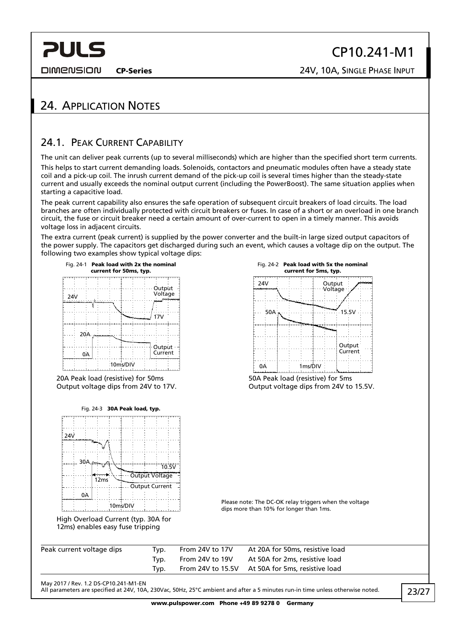<span id="page-22-0"></span>**DIMENSION** 

CP-Series 24V, 10A, SINGLE PHASE INPUT

#### 24. APPLICATION NOTES

#### 24.1. PEAK CURRENT CAPABILITY

The unit can deliver peak currents (up to several milliseconds) which are higher than the specified short term currents. This helps to start current demanding loads. Solenoids, contactors and pneumatic modules often have a steady state coil and a pick-up coil. The inrush current demand of the pick-up coil is several times higher than the steady-state current and usually exceeds the nominal output current (including the PowerBoost). The same situation applies when starting a capacitive load.

The peak current capability also ensures the safe operation of subsequent circuit breakers of load circuits. The load branches are often individually protected with circuit breakers or fuses. In case of a short or an overload in one branch circuit, the fuse or circuit breaker need a certain amount of over-current to open in a timely manner. This avoids voltage loss in adjacent circuits.

The extra current (peak current) is supplied by the power converter and the built-in large sized output capacitors of the power supply. The capacitors get discharged during such an event, which causes a voltage dip on the output. The following two examples show typical voltage dips:



<span id="page-22-1"></span>20A Peak load (resistive) for 50ms Output voltage dips from 24V to 17V.



High Overload Current (typ. 30A for 12ms) enables easy fuse tripping

| Output<br>Voltage |         | monume            |
|-------------------|---------|-------------------|
|                   |         |                   |
|                   |         |                   |
|                   | 15.5V   |                   |
| Ma <sub>nda</sub> |         |                   |
|                   |         |                   |
|                   |         |                   |
|                   | 1ms/DIV | Output<br>Current |

50A Peak load (resistive) for 5ms Output voltage dips from 24V to 15.5V.

Please note: The DC-OK relay triggers when the voltage dips more than 10% for longer than 1ms.

| Peak current voltage dips | Tvp. | From 24V to 17V | At 20A for 50ms, resistive load                  |
|---------------------------|------|-----------------|--------------------------------------------------|
|                           | Tvp. | From 24V to 19V | At 50A for 2ms, resistive load                   |
|                           | Tvp. |                 | From 24V to 15.5V At 50A for 5ms, resistive load |

May 2017 / Rev. 1.2 DS-CP10.241-M1-EN

All parameters are specified at 24V, 10A, 230Vac, 50Hz, 25°C ambient and after a 5 minutes run-in time unless otherwise noted.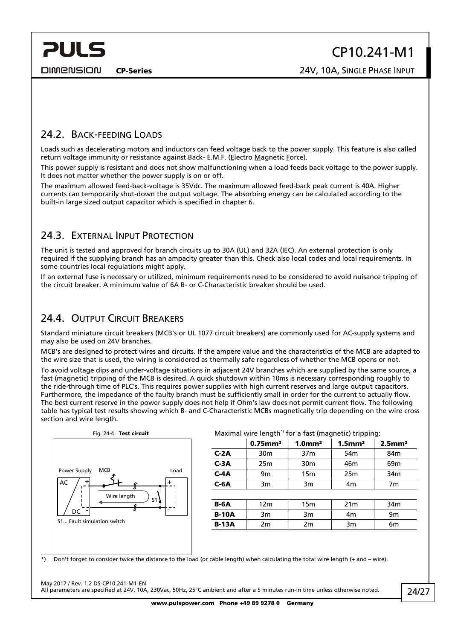<span id="page-23-0"></span>**DIMENSION** 

CP-Series 24V, 10A, SINGLE PHASE INPUT

#### 24.2. BACK-FEEDING LOADS

Loads such as decelerating motors and inductors can feed voltage back to the power supply. This feature is also called return voltage immunity or resistance against Back- E.M.F. (Electro Magnetic Force).

This power supply is resistant and does not show malfunctioning when a load feeds back voltage to the power supply. It does not matter whether the power supply is on or off.

The maximum allowed feed-back-voltage is 35Vdc. The maximum allowed feed-back peak current is 40A. Higher currents can temporarily shut-down the output voltage. The absorbing energy can be calculated according to the built-in large sized output capacitor which is specified in chapter [6](#page-6-1).

#### <span id="page-23-1"></span>24.3. EXTERNAL INPUT PROTECTION

The unit is tested and approved for branch circuits up to 30A (UL) and 32A (IEC). An external protection is only required if the supplying branch has an ampacity greater than this. Check also local codes and local requirements. In some countries local regulations might apply.

If an external fuse is necessary or utilized, minimum requirements need to be considered to avoid nuisance tripping of the circuit breaker. A minimum value of 6A B- or C-Characteristic breaker should be used.

#### 24.4. OUTPUT CIRCUIT BREAKERS

Standard miniature circuit breakers (MCB's or UL 1077 circuit breakers) are commonly used for AC-supply systems and may also be used on 24V branches.

MCB's are designed to protect wires and circuits. If the ampere value and the characteristics of the MCB are adapted to the wire size that is used, the wiring is considered as thermally safe regardless of whether the MCB opens or not.

To avoid voltage dips and under-voltage situations in adjacent 24V branches which are supplied by the same source, a fast (magnetic) tripping of the MCB is desired. A quick shutdown within 10ms is necessary corresponding roughly to the ride-through time of PLC's. This requires power supplies with high current reserves and large output capacitors. Furthermore, the impedance of the faulty branch must be sufficiently small in order for the current to actually flow. The best current reserve in the power supply does not help if Ohm's law does not permit current flow. The following table has typical test results showing which B- and C-Characteristic MCBs magnetically trip depending on the wire cross section and wire length.



#### Fig. 24-4 Test circuit **Maximal wire length<sup>\*</sup>** for a fast (magnetic) tripping:

|              | $0.75$ mm <sup>2</sup> | $1.0$ mm <sup>2</sup> | $1.5$ mm <sup>2</sup> | $2.5$ mm <sup>2</sup> |  |
|--------------|------------------------|-----------------------|-----------------------|-----------------------|--|
| $C-2A$       | 30 <sub>m</sub>        | 37 <sub>m</sub>       | 54 <sub>m</sub>       | 84 <sub>m</sub>       |  |
| $C-3A$       | 25m                    | 30 <sub>m</sub>       | 46m                   | 69 <sub>m</sub>       |  |
| $C-4A$       | 9m                     | 15 <sub>m</sub>       | 25m                   | 34 <sub>m</sub>       |  |
| $C-6A$       | 3m                     | 3m                    | 4m                    | 7m                    |  |
|              |                        |                       |                       |                       |  |
| $B-6A$       | 12m                    | 15 <sub>m</sub>       | 21 <sub>m</sub>       | 34 <sub>m</sub>       |  |
| <b>B-10A</b> | 3m                     | 3m                    | 4m                    | 9 <sub>m</sub>        |  |
| <b>B-13A</b> | 2m                     | 2m                    | 3m                    | 6m                    |  |
|              |                        |                       |                       |                       |  |

\*) Don't forget to consider twice the distance to the load (or cable length) when calculating the total wire length (+ and – wire).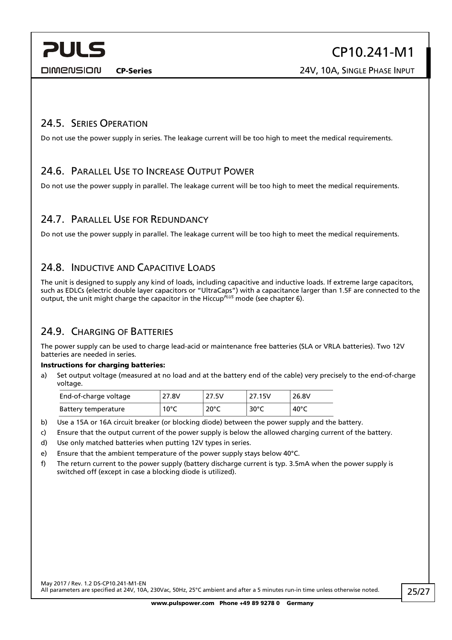CP-Series 24V, 10A, SINGLE PHASE INPUT

#### <span id="page-24-0"></span>24.5. SERIES OPERATION

Do not use the power supply in series. The leakage current will be too high to meet the medical requirements.

#### 24.6. PARALLEL USE TO INCREASE OUTPUT POWER

Do not use the power supply in parallel. The leakage current will be too high to meet the medical requirements.

#### <span id="page-24-1"></span>24.7. PARALLEL USE FOR REDUNDANCY

Do not use the power supply in parallel. The leakage current will be too high to meet the medical requirements.

#### 24.8. INDUCTIVE AND CAPACITIVE LOADS

The unit is designed to supply any kind of loads, including capacitive and inductive loads. If extreme large capacitors, such as EDLCs (electric double layer capacitors or "UltraCaps") with a capacitance larger than 1.5F are connected to the output, the unit might charge the capacitor in the Hiccup*PLUS* mode (see chapter [6\)](#page-6-1).

#### 24.9. CHARGING OF BATTERIES

The power supply can be used to charge lead-acid or maintenance free batteries (SLA or VRLA batteries). Two 12V batteries are needed in series.

#### Instructions for charging batteries:

a) Set output voltage (measured at no load and at the battery end of the cable) very precisely to the end-of-charge voltage.

| End-of-charge voltage | 27.8V          | 27.5V          | 27.15V         | 26.8V |
|-----------------------|----------------|----------------|----------------|-------|
| Battery temperature   | $10^{\circ}$ C | $20^{\circ}$ C | $30^{\circ}$ C | 40°C  |

b) Use a 15A or 16A circuit breaker (or blocking diode) between the power supply and the battery.

- c) Ensure that the output current of the power supply is below the allowed charging current of the battery.
- d) Use only matched batteries when putting 12V types in series.
- e) Ensure that the ambient temperature of the power supply stays below 40°C.
- f) The return current to the power supply (battery discharge current is typ. 3.5mA when the power supply is switched off (except in case a blocking diode is utilized).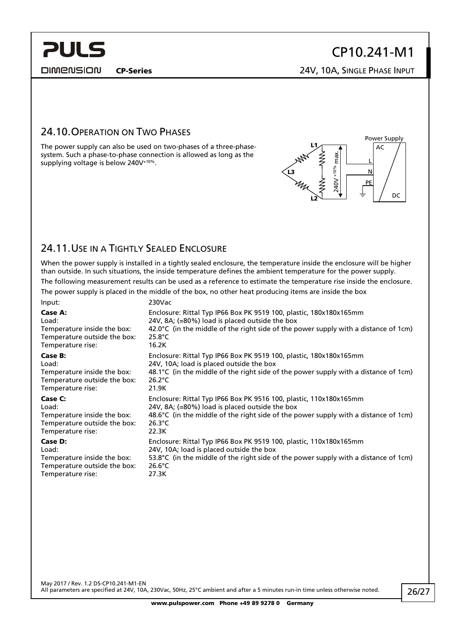<span id="page-25-0"></span>**DIMENSION** 

CP-Series 24V, 10A, SINGLE PHASE INPUT

#### 24.10.OPERATION ON TWO PHASES

The power supply can also be used on two-phases of a three-phasesystem. Such a phase-to-phase connection is allowed as long as the supplying voltage is below 240V+10%.



#### 24.11.USE IN A TIGHTLY SEALED ENCLOSURE

When the power supply is installed in a tightly sealed enclosure, the temperature inside the enclosure will be higher than outside. In such situations, the inside temperature defines the ambient temperature for the power supply.

The following measurement results can be used as a reference to estimate the temperature rise inside the enclosure. The power supply is placed in the middle of the box, no other heat producing items are inside the box

| Input:                       | 230Vac                                                                                        |
|------------------------------|-----------------------------------------------------------------------------------------------|
| Case A:                      | Enclosure: Rittal Typ IP66 Box PK 9519 100, plastic, 180x180x165mm                            |
| Load:                        | 24V, 8A; (=80%) load is placed outside the box                                                |
| Temperature inside the box:  | 42.0 $\degree$ C (in the middle of the right side of the power supply with a distance of 1cm) |
| Temperature outside the box: | $25.8^{\circ}$ C                                                                              |
| Temperature rise:            | 16.2K                                                                                         |
| Case B:                      | Enclosure: Rittal Typ IP66 Box PK 9519 100, plastic, 180x180x165mm                            |
| Load:                        | 24V, 10A; load is placed outside the box                                                      |
| Temperature inside the box:  | 48.1 $\degree$ C (in the middle of the right side of the power supply with a distance of 1cm) |
| Temperature outside the box: | $26.2^{\circ}$ C                                                                              |
| Temperature rise:            | 21.9K                                                                                         |
| Case C:                      | Enclosure: Rittal Typ IP66 Box PK 9516 100, plastic, 110x180x165mm                            |
| Load:                        | 24V, 8A; (=80%) load is placed outside the box                                                |
| Temperature inside the box:  | 48.6 $\degree$ C (in the middle of the right side of the power supply with a distance of 1cm) |
| Temperature outside the box: | $26.3^{\circ}$ C                                                                              |
| Temperature rise:            | 22.3K                                                                                         |
| Case D:                      | Enclosure: Rittal Typ IP66 Box PK 9519 100, plastic, 110x180x165mm                            |
| Load:                        | 24V, 10A; load is placed outside the box                                                      |
| Temperature inside the box:  | 53.8 $\degree$ C (in the middle of the right side of the power supply with a distance of 1cm) |
| Temperature outside the box: | $26.6^{\circ}$ C                                                                              |
| Temperature rise:            | 27.3K                                                                                         |

May 2017 / Rev. 1.2 DS-CP10.241-M1-EN All parameters are specified at 24V, 10A, 230Vac, 50Hz, 25°C ambient and after a 5 minutes run-in time unless otherwise noted.

26/27